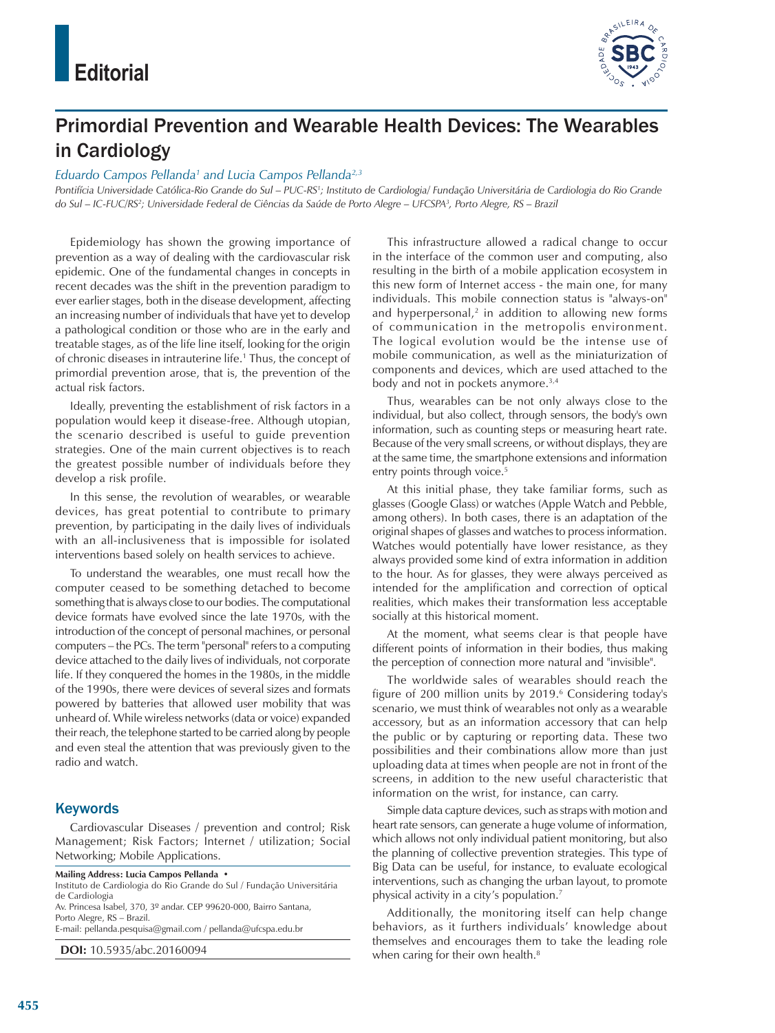

## Primordial Prevention and Wearable Health Devices: The Wearables in Cardiology

## *Eduardo Campos Pellanda1 and Lucia Campos Pellanda2,3*

Pontifícia Universidade Católica-Rio Grande do Sul – PUC-RS<sup>1</sup>; Instituto de Cardiologia/ Fundação Universitária de Cardiologia do Rio Grande *do Sul – IC-FUC/RS2 ; Universidade Federal de Ciências da Saúde de Porto Alegre – UFCSPA3 , Porto Alegre, RS – Brazil*

Epidemiology has shown the growing importance of prevention as a way of dealing with the cardiovascular risk epidemic. One of the fundamental changes in concepts in recent decades was the shift in the prevention paradigm to ever earlier stages, both in the disease development, affecting an increasing number of individuals that have yet to develop a pathological condition or those who are in the early and treatable stages, as of the life line itself, looking for the origin of chronic diseases in intrauterine life.1 Thus, the concept of primordial prevention arose, that is, the prevention of the actual risk factors.

Ideally, preventing the establishment of risk factors in a population would keep it disease-free. Although utopian, the scenario described is useful to guide prevention strategies. One of the main current objectives is to reach the greatest possible number of individuals before they develop a risk profile.

In this sense, the revolution of wearables, or wearable devices, has great potential to contribute to primary prevention, by participating in the daily lives of individuals with an all-inclusiveness that is impossible for isolated interventions based solely on health services to achieve.

To understand the wearables, one must recall how the computer ceased to be something detached to become something that is always close to our bodies. The computational device formats have evolved since the late 1970s, with the introduction of the concept of personal machines, or personal computers – the PCs. The term "personal" refers to a computing device attached to the daily lives of individuals, not corporate life. If they conquered the homes in the 1980s, in the middle of the 1990s, there were devices of several sizes and formats powered by batteries that allowed user mobility that was unheard of. While wireless networks (data or voice) expanded their reach, the telephone started to be carried along by people and even steal the attention that was previously given to the radio and watch.

## **Keywords**

Cardiovascular Diseases / prevention and control; Risk Management; Risk Factors; Internet / utilization; Social Networking; Mobile Applications.

**Mailing Address: Lucia Campos Pellanda •**

Instituto de Cardiologia do Rio Grande do Sul / Fundação Universitária de Cardiologia Av. Princesa Isabel, 370, 3º andar. CEP 99620-000, Bairro Santana,

Porto Alegre, RS – Brazil.

E-mail: pellanda.pesquisa@gmail.com / pellanda@ufcspa.edu.br

**DOI:** 10.5935/abc.20160094

This infrastructure allowed a radical change to occur in the interface of the common user and computing, also resulting in the birth of a mobile application ecosystem in this new form of Internet access - the main one, for many individuals. This mobile connection status is "always-on" and hyperpersonal, $2$  in addition to allowing new forms of communication in the metropolis environment. The logical evolution would be the intense use of mobile communication, as well as the miniaturization of components and devices, which are used attached to the body and not in pockets anymore.<sup>3,4</sup>

Thus, wearables can be not only always close to the individual, but also collect, through sensors, the body's own information, such as counting steps or measuring heart rate. Because of the very small screens, or without displays, they are at the same time, the smartphone extensions and information entry points through voice.<sup>5</sup>

At this initial phase, they take familiar forms, such as glasses (Google Glass) or watches (Apple Watch and Pebble, among others). In both cases, there is an adaptation of the original shapes of glasses and watches to process information. Watches would potentially have lower resistance, as they always provided some kind of extra information in addition to the hour. As for glasses, they were always perceived as intended for the amplification and correction of optical realities, which makes their transformation less acceptable socially at this historical moment.

At the moment, what seems clear is that people have different points of information in their bodies, thus making the perception of connection more natural and "invisible".

The worldwide sales of wearables should reach the figure of 200 million units by 2019.<sup>6</sup> Considering today's scenario, we must think of wearables not only as a wearable accessory, but as an information accessory that can help the public or by capturing or reporting data. These two possibilities and their combinations allow more than just uploading data at times when people are not in front of the screens, in addition to the new useful characteristic that information on the wrist, for instance, can carry.

Simple data capture devices, such as straps with motion and heart rate sensors, can generate a huge volume of information, which allows not only individual patient monitoring, but also the planning of collective prevention strategies. This type of Big Data can be useful, for instance, to evaluate ecological interventions, such as changing the urban layout, to promote physical activity in a city's population.7

Additionally, the monitoring itself can help change behaviors, as it furthers individuals' knowledge about themselves and encourages them to take the leading role when caring for their own health.<sup>8</sup>